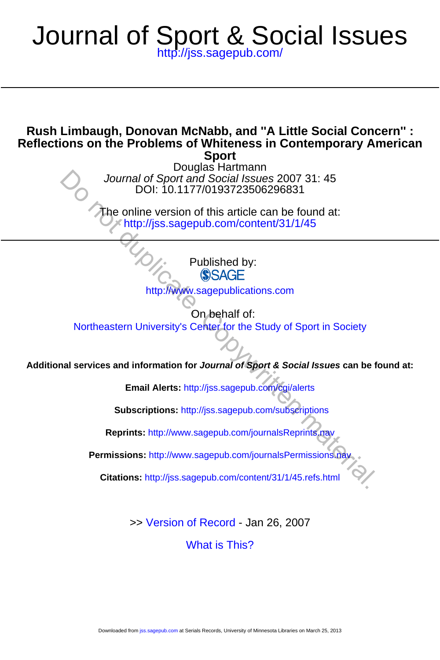## <http://jss.sagepub.com/> Journal of Sport & Social Issues

http://jss.sagepub.com/content/31/1/45 The online version of this article can be found at: DOI: 10.1177/0193723506296831 Journal of Sport and Social Issues 2007 31: 45 Douglas Hartmann **Sport Reflections on the Problems of Whiteness in Contemporary American Rush Limbaugh, Donovan McNabb, and ''A Little Social Concern'' :** Published by: Journal of Spor[t](http://jss.sagepub.com/content/31/1/45) an[d](http://jss.sagepub.com/content/31/1/45) Social Issues 2007 31: 45<br>
DOI: 10.1177/0193723506296831<br>
The o[n](http://jss.sagepub.com/subscriptions)line version of this article can be found at:<br>
The online version of this article can be found at:<br>
The online version of this article ca

http://www.sagepublications.com

On behalf of: Northeastern University's Center for the Study of Sport in Society

**Additional services and information for Journal of Sport & Social Issues can be found at:**

**Email Alerts:** http://jss.sagepub.com/cgi/alerts

**Subscriptions:** http://jss.sagepub.com/subscriptions

**Reprints:** http://www.sagepub.com/journalsReprints.nav

Permissions: http://www.sagepub.com/journalsPermissions.na

**Citations:** http://jss.sagepub.com/content/31/1/45.refs.html

>> [Version of Record -](http://jss.sagepub.com/content/31/1/45.full.pdf) Jan 26, 2007

[What is This?](http://online.sagepub.com/site/sphelp/vorhelp.xhtml)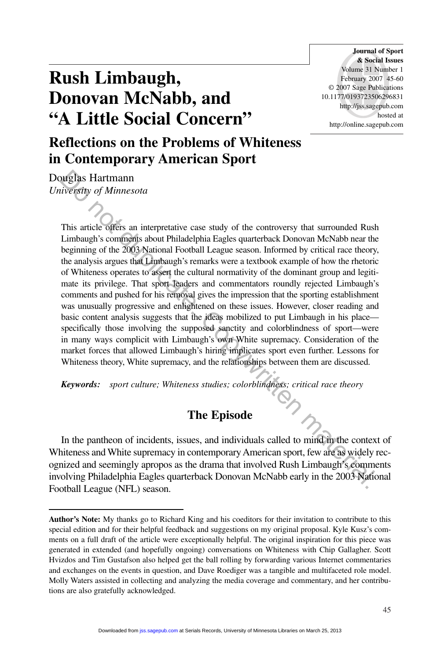**Journal of Sport & Social Issues** Volume 31 Number 1 February 2007 45-60 © 2007 Sage Publications 10.1177/0193723506296831 http://jss.sagepub.com hosted at http://online.sagepub.com

# **Rush Limbaugh, Donovan McNabb, and "A Little Social Concern"**

**Reflections on the Problems of Whiteness in Contemporary American Sport**

Douglas Hartmann *University of Minnesota*

This article offers an interpretative case study of the controversy that surrounded Rush Limbaugh's comments about Philadelphia Eagles quarterback Donovan McNabb near the beginning of the 2003 National Football League season. Informed by critical race theory, the analysis argues that Limbaugh's remarks were a textbook example of how the rhetoric of Whiteness operates to assert the cultural normativity of the dominant group and legitimate its privilege. That sport leaders and commentators roundly rejected Limbaugh's comments and pushed for his removal gives the impression that the sporting establishment was unusually progressive and enlightened on these issues. However, closer reading and basic content analysis suggests that the ideas mobilized to put Limbaugh in his place specifically those involving the supposed sanctity and colorblindness of sport—were in many ways complicit with Limbaugh's own White supremacy. Consideration of the market forces that allowed Limbaugh's hiring implicates sport even further. Lessons for Whiteness theory, White supremacy, and the relationships between them are discussed. **Doministan Solution Community Control Community (CONTR)**<br>This article offers an interpretative case study of the controversy that surrounded Rus<br>Limbaugh's commission Philadelphia Eagles quaretheak Donovan MeNabb near th

*Keywords: sport culture; Whiteness studies; colorblindness; critical race theory*

## **The Episode**

In the pantheon of incidents, issues, and individuals called to mind in the context of Whiteness and White supremacy in contemporary American sport, few are as widely recognized and seemingly apropos as the drama that involved Rush Limbaugh's comments involving Philadelphia Eagles quarterback Donovan McNabb early in the 2003 National Football League (NFL) season.

**Author's Note:** My thanks go to Richard King and his coeditors for their invitation to contribute to this special edition and for their helpful feedback and suggestions on my original proposal. Kyle Kusz's comments on a full draft of the article were exceptionally helpful. The original inspiration for this piece was generated in extended (and hopefully ongoing) conversations on Whiteness with Chip Gallagher. Scott Hvizdos and Tim Gustafson also helped get the ball rolling by forwarding various Internet commentaries and exchanges on the events in question, and Dave Roediger was a tangible and multifaceted role model. Molly Waters assisted in collecting and analyzing the media coverage and commentary, and her contributions are also gratefully acknowledged.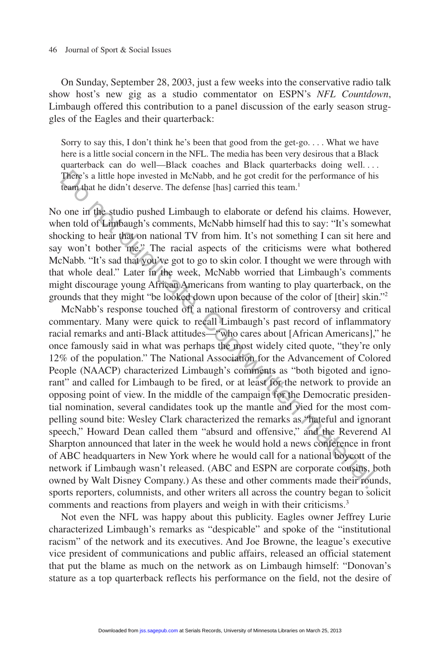On Sunday, September 28, 2003, just a few weeks into the conservative radio talk show host's new gig as a studio commentator on ESPN's *NFL Countdown*, Limbaugh offered this contribution to a panel discussion of the early season struggles of the Eagles and their quarterback:

Sorry to say this, I don't think he's been that good from the get-go.... What we have here is a little social concern in the NFL. The media has been very desirous that a Black quarterback can do well—Black coaches and Black quarterbacks doing well.... There's a little hope invested in McNabb, and he got credit for the performance of his team that he didn't deserve. The defense [has] carried this team.<sup>1</sup>

No one in the studio pushed Limbaugh to elaborate or defend his claims. However, when told of Limbaugh's comments, McNabb himself had this to say: "It's somewhat shocking to hear that on national TV from him. It's not something I can sit here and say won't bother me." The racial aspects of the criticisms were what bothered McNabb. "It's sad that you've got to go to skin color. I thought we were through with that whole deal." Later in the week, McNabb worried that Limbaugh's comments might discourage young African Americans from wanting to play quarterback, on the grounds that they might "be looked down upon because of the color of [their] skin."2

McNabb's response touched off a national firestorm of controversy and critical commentary. Many were quick to recall Limbaugh's past record of inflammatory racial remarks and anti-Black attitudes—"who cares about [African Americans]," he once famously said in what was perhaps the most widely cited quote, "they're only 12% of the population." The National Association for the Advancement of Colored People (NAACP) characterized Limbaugh's comments as "both bigoted and ignorant" and called for Limbaugh to be fired, or at least for the network to provide an opposing point of view. In the middle of the campaign for the Democratic presidential nomination, several candidates took up the mantle and vied for the most compelling sound bite: Wesley Clark characterized the remarks as "hateful and ignorant speech," Howard Dean called them "absurd and offensive," and the Reverend Al Sharpton announced that later in the week he would hold a news conference in front of ABC headquarters in New York where he would call for a national boycott of the network if Limbaugh wasn't released. (ABC and ESPN are corporate cousins, both owned by Walt Disney Company.) As these and other comments made their rounds, sports reporters, columnists, and other writers all across the country began to solicit comments and reactions from players and weigh in with their criticisms.<sup>3</sup> There's a little hope invested in McNabb, and he got credit for the performance of hiearat that he didn't deserve. The defense [has] carried this team.<sup>1</sup><br>one in the studio pushed Limbaugh to elaborate or defend his claim

Not even the NFL was happy about this publicity. Eagles owner Jeffrey Lurie characterized Limbaugh's remarks as "despicable" and spoke of the "institutional racism" of the network and its executives. And Joe Browne, the league's executive vice president of communications and public affairs, released an official statement that put the blame as much on the network as on Limbaugh himself: "Donovan's stature as a top quarterback reflects his performance on the field, not the desire of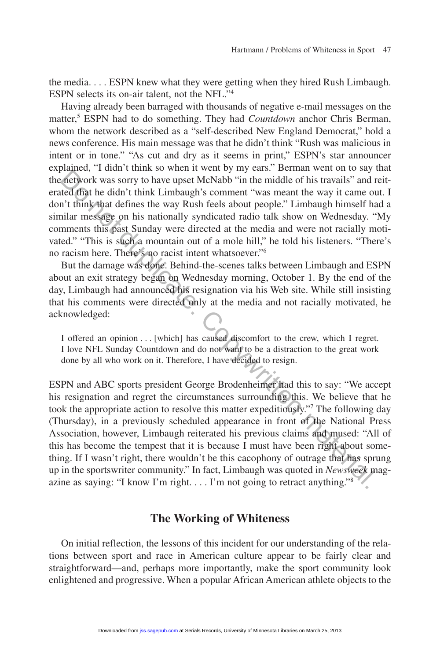the media.... ESPN knew what they were getting when they hired Rush Limbaugh. ESPN selects its on-air talent, not the NFL."4

Having already been barraged with thousands of negative e-mail messages on the matter,5 ESPN had to do something. They had *Countdown* anchor Chris Berman, whom the network described as a "self-described New England Democrat," hold a news conference. His main message was that he didn't think "Rush was malicious in intent or in tone." "As cut and dry as it seems in print," ESPN's star announcer explained, "I didn't think so when it went by my ears." Berman went on to say that the network was sorry to have upset McNabb "in the middle of his travails" and reiterated that he didn't think Limbaugh's comment "was meant the way it came out. I don't think that defines the way Rush feels about people." Limbaugh himself had a similar message on his nationally syndicated radio talk show on Wednesday. "My comments this past Sunday were directed at the media and were not racially motivated." "This is such a mountain out of a mole hill," he told his listeners. "There's no racism here. There's no racist intent whatsoever."6

But the damage was done. Behind-the-scenes talks between Limbaugh and ESPN about an exit strategy began on Wednesday morning, October 1. By the end of the day, Limbaugh had announced his resignation via his Web site. While still insisting that his comments were directed only at the media and not racially motivated, he acknowledged:

I offered an opinion . . . [which] has caused discomfort to the crew, which I regret. I love NFL Sunday Countdown and do not want to be a distraction to the great work done by all who work on it. Therefore, I have decided to resign.

ESPN and ABC sports president George Brodenheimer had this to say: "We accept his resignation and regret the circumstances surrounding this. We believe that he took the appropriate action to resolve this matter expeditiously."7 The following day (Thursday), in a previously scheduled appearance in front of the National Press Association, however, Limbaugh reiterated his previous claims and mused: "All of this has become the tempest that it is because I must have been right about something. If I wasn't right, there wouldn't be this cacophony of outrage that has sprung up in the sportswriter community." In fact, Limbaugh was quoted in *Newsweek* magazine as saying: "I know I'm right.... I'm not going to retract anything."<sup>8</sup> Example, 1 cannel was we were the wear of the product in the solution of the same in the middle of his travails" and redefinite the dight he didn't think Limbaugh's comment "was meant the way it came on the think that def

#### **The Working of Whiteness**

On initial reflection, the lessons of this incident for our understanding of the relations between sport and race in American culture appear to be fairly clear and straightforward—and, perhaps more importantly, make the sport community look enlightened and progressive. When a popular African American athlete objects to the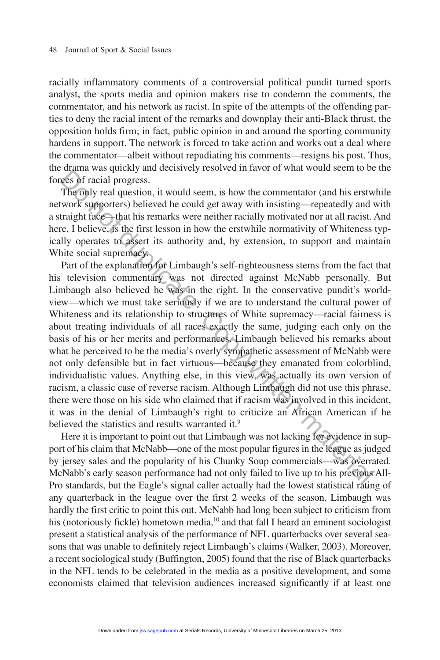racially inflammatory comments of a controversial political pundit turned sports analyst, the sports media and opinion makers rise to condemn the comments, the commentator, and his network as racist. In spite of the attempts of the offending parties to deny the racial intent of the remarks and downplay their anti-Black thrust, the opposition holds firm; in fact, public opinion in and around the sporting community hardens in support. The network is forced to take action and works out a deal where the commentator—albeit without repudiating his comments—resigns his post. Thus, the drama was quickly and decisively resolved in favor of what would seem to be the forces of racial progress.

The only real question, it would seem, is how the commentator (and his erstwhile network supporters) believed he could get away with insisting—repeatedly and with a straight face—that his remarks were neither racially motivated nor at all racist. And here, I believe, is the first lesson in how the erstwhile normativity of Whiteness typically operates to assert its authority and, by extension, to support and maintain White social supremacy.

Part of the explanation for Limbaugh's self-righteousness stems from the fact that his television commentary was not directed against McNabb personally. But Limbaugh also believed he was in the right. In the conservative pundit's worldview—which we must take seriously if we are to understand the cultural power of Whiteness and its relationship to structures of White supremacy—racial fairness is about treating individuals of all races exactly the same, judging each only on the basis of his or her merits and performances. Limbaugh believed his remarks about what he perceived to be the media's overly sympathetic assessment of McNabb were not only defensible but in fact virtuous—because they emanated from colorblind, individualistic values. Anything else, in this view, was actually its own version of racism, a classic case of reverse racism. Although Limbaugh did not use this phrase, there were those on his side who claimed that if racism was involved in this incident, it was in the denial of Limbaugh's right to criticize an African American if he believed the statistics and results warranted it.<sup>9</sup> Solution was equality universal and the set of excelsion and we set of the set of the set of the set of the set of the set of the set of the set of the set of the set of the set of the set of the set of the set of the set

Here it is important to point out that Limbaugh was not lacking for evidence in support of his claim that McNabb—one of the most popular figures in the league as judged by jersey sales and the popularity of his Chunky Soup commercials—was overrated. McNabb's early season performance had not only failed to live up to his previous All-Pro standards, but the Eagle's signal caller actually had the lowest statistical rating of any quarterback in the league over the first 2 weeks of the season. Limbaugh was hardly the first critic to point this out. McNabb had long been subject to criticism from his (notoriously fickle) hometown media, $^{10}$  and that fall I heard an eminent sociologist present a statistical analysis of the performance of NFL quarterbacks over several seasons that was unable to definitely reject Limbaugh's claims (Walker, 2003). Moreover, a recent sociological study (Buffington, 2005) found that the rise of Black quarterbacks in the NFL tends to be celebrated in the media as a positive development, and some economists claimed that television audiences increased significantly if at least one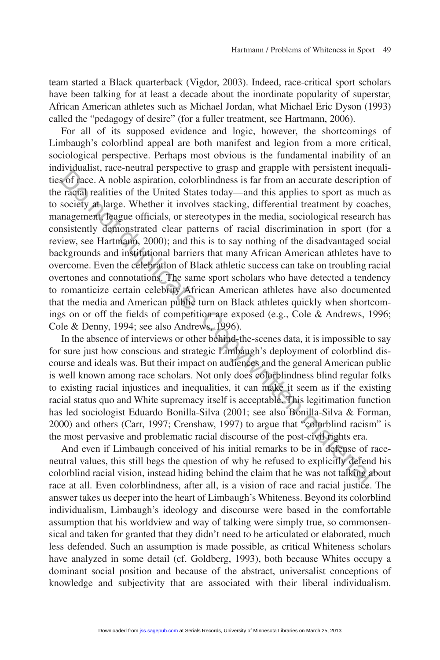team started a Black quarterback (Vigdor, 2003). Indeed, race-critical sport scholars have been talking for at least a decade about the inordinate popularity of superstar, African American athletes such as Michael Jordan, what Michael Eric Dyson (1993) called the "pedagogy of desire" (for a fuller treatment, see Hartmann, 2006).

For all of its supposed evidence and logic, however, the shortcomings of Limbaugh's colorblind appeal are both manifest and legion from a more critical, sociological perspective. Perhaps most obvious is the fundamental inability of an individualist, race-neutral perspective to grasp and grapple with persistent inequalities of race. A noble aspiration, colorblindness is far from an accurate description of the racial realities of the United States today—and this applies to sport as much as to society at large. Whether it involves stacking, differential treatment by coaches, management, league officials, or stereotypes in the media, sociological research has consistently demonstrated clear patterns of racial discrimination in sport (for a review, see Hartmann, 2000); and this is to say nothing of the disadvantaged social backgrounds and institutional barriers that many African American athletes have to overcome. Even the celebration of Black athletic success can take on troubling racial overtones and connotations. The same sport scholars who have detected a tendency to romanticize certain celebrity African American athletes have also documented that the media and American public turn on Black athletes quickly when shortcomings on or off the fields of competition are exposed (e.g., Cole & Andrews, 1996; Cole & Denny, 1994; see also Andrews, 1996). **Examples:** The final properator to gually hand properation, the final properation and properation and properation and this applies to sport as muclosciely at large. When the United States today—and this applies to sport

In the absence of interviews or other behind-the-scenes data, it is impossible to say for sure just how conscious and strategic Limbaugh's deployment of colorblind discourse and ideals was. But their impact on audiences and the general American public is well known among race scholars. Not only does colorblindness blind regular folks to existing racial injustices and inequalities, it can make it seem as if the existing racial status quo and White supremacy itself is acceptable. This legitimation function has led sociologist Eduardo Bonilla-Silva (2001; see also Bonilla-Silva & Forman, 2000) and others (Carr, 1997; Crenshaw, 1997) to argue that "colorblind racism" is the most pervasive and problematic racial discourse of the post-civil rights era.

And even if Limbaugh conceived of his initial remarks to be in defense of raceneutral values, this still begs the question of why he refused to explicitly defend his colorblind racial vision, instead hiding behind the claim that he was not talking about race at all. Even colorblindness, after all, is a vision of race and racial justice. The answer takes us deeper into the heart of Limbaugh's Whiteness. Beyond its colorblind individualism, Limbaugh's ideology and discourse were based in the comfortable assumption that his worldview and way of talking were simply true, so commonsensical and taken for granted that they didn't need to be articulated or elaborated, much less defended. Such an assumption is made possible, as critical Whiteness scholars have analyzed in some detail (cf. Goldberg, 1993), both because Whites occupy a dominant social position and because of the abstract, universalist conceptions of knowledge and subjectivity that are associated with their liberal individualism.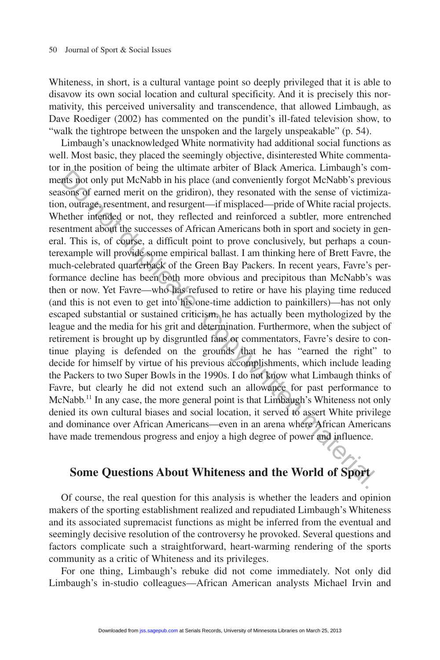Whiteness, in short, is a cultural vantage point so deeply privileged that it is able to disavow its own social location and cultural specificity. And it is precisely this normativity, this perceived universality and transcendence, that allowed Limbaugh, as Dave Roediger (2002) has commented on the pundit's ill-fated television show, to "walk the tightrope between the unspoken and the largely unspeakable" (p. 54).

Limbaugh's unacknowledged White normativity had additional social functions as well. Most basic, they placed the seemingly objective, disinterested White commentator in the position of being the ultimate arbiter of Black America. Limbaugh's comments not only put McNabb in his place (and conveniently forgot McNabb's previous seasons of earned merit on the gridiron), they resonated with the sense of victimization, outrage, resentment, and resurgent—if misplaced—pride of White racial projects. Whether intended or not, they reflected and reinforced a subtler, more entrenched resentment about the successes of African Americans both in sport and society in general. This is, of course, a difficult point to prove conclusively, but perhaps a counterexample will provide some empirical ballast. I am thinking here of Brett Favre, the much-celebrated quarterback of the Green Bay Packers. In recent years, Favre's performance decline has been both more obvious and precipitous than McNabb's was then or now. Yet Favre—who has refused to retire or have his playing time reduced (and this is not even to get into his one-time addiction to painkillers)—has not only escaped substantial or sustained criticism, he has actually been mythologized by the league and the media for his grit and determination. Furthermore, when the subject of retirement is brought up by disgruntled fans or commentators, Favre's desire to continue playing is defended on the grounds that he has "earned the right" to decide for himself by virtue of his previous accomplishments, which include leading the Packers to two Super Bowls in the 1990s. I do not know what Limbaugh thinks of Favre, but clearly he did not extend such an allowance for past performance to McNabb.<sup>11</sup> In any case, the more general point is that Limbaugh's Whiteness not only denied its own cultural biases and social location, it served to assert White privilege and dominance over African Americans—even in an arena where African Americans have made tremendous progress and enjoy a high degree of power and influence. mentally been produced control of the dumentary control and the method of the product of the product of the expected on the grid only put McNabb in his place (and conveniently forgot McNabb's previous of earned merit on t

#### **Some Questions About Whiteness and the World of Sport**

Of course, the real question for this analysis is whether the leaders and opinion makers of the sporting establishment realized and repudiated Limbaugh's Whiteness and its associated supremacist functions as might be inferred from the eventual and seemingly decisive resolution of the controversy he provoked. Several questions and factors complicate such a straightforward, heart-warming rendering of the sports community as a critic of Whiteness and its privileges.

For one thing, Limbaugh's rebuke did not come immediately. Not only did Limbaugh's in-studio colleagues—African American analysts Michael Irvin and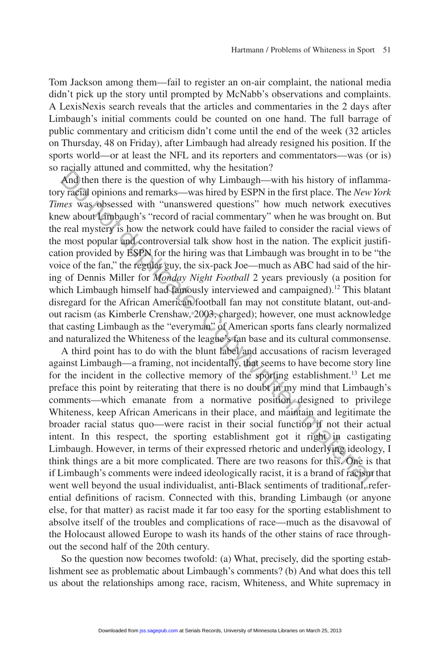Tom Jackson among them—fail to register an on-air complaint, the national media didn't pick up the story until prompted by McNabb's observations and complaints. A LexisNexis search reveals that the articles and commentaries in the 2 days after Limbaugh's initial comments could be counted on one hand. The full barrage of public commentary and criticism didn't come until the end of the week (32 articles on Thursday, 48 on Friday), after Limbaugh had already resigned his position. If the sports world—or at least the NFL and its reporters and commentators—was (or is) so racially attuned and committed, why the hesitation?

And then there is the question of why Limbaugh—with his history of inflammatory racial opinions and remarks—was hired by ESPN in the first place. The *New York Times* was obsessed with "unanswered questions" how much network executives knew about Limbaugh's "record of racial commentary" when he was brought on. But the real mystery is how the network could have failed to consider the racial views of the most popular and controversial talk show host in the nation. The explicit justification provided by ESPN for the hiring was that Limbaugh was brought in to be "the voice of the fan," the regular guy, the six-pack Joe—much as ABC had said of the hiring of Dennis Miller for *Monday Night Football* 2 years previously (a position for which Limbaugh himself had famously interviewed and campaigned).<sup>12</sup> This blatant disregard for the African American football fan may not constitute blatant, out-andout racism (as Kimberle Crenshaw, 2003, charged); however, one must acknowledge that casting Limbaugh as the "everyman" of American sports fans clearly normalized and naturalized the Whiteness of the league's fan base and its cultural commonsense. **Example 1.1** and the communicative, why consisted the matter of the matter of the same of the matter power of the matter please. The *New* Prefile options and remarks—was hired by ESPN in the first place. The *New* Prese

A third point has to do with the blunt label and accusations of racism leveraged against Limbaugh—a framing, not incidentally, that seems to have become story line for the incident in the collective memory of the sporting establishment.<sup>13</sup> Let me preface this point by reiterating that there is no doubt in my mind that Limbaugh's comments—which emanate from a normative position designed to privilege Whiteness, keep African Americans in their place, and maintain and legitimate the broader racial status quo—were racist in their social function if not their actual intent. In this respect, the sporting establishment got it right in castigating Limbaugh. However, in terms of their expressed rhetoric and underlying ideology, I think things are a bit more complicated. There are two reasons for this. One is that if Limbaugh's comments were indeed ideologically racist, it is a brand of racism that went well beyond the usual individualist, anti-Black sentiments of traditional, referential definitions of racism. Connected with this, branding Limbaugh (or anyone else, for that matter) as racist made it far too easy for the sporting establishment to absolve itself of the troubles and complications of race—much as the disavowal of the Holocaust allowed Europe to wash its hands of the other stains of race throughout the second half of the 20th century.

So the question now becomes twofold: (a) What, precisely, did the sporting establishment see as problematic about Limbaugh's comments? (b) And what does this tell us about the relationships among race, racism, Whiteness, and White supremacy in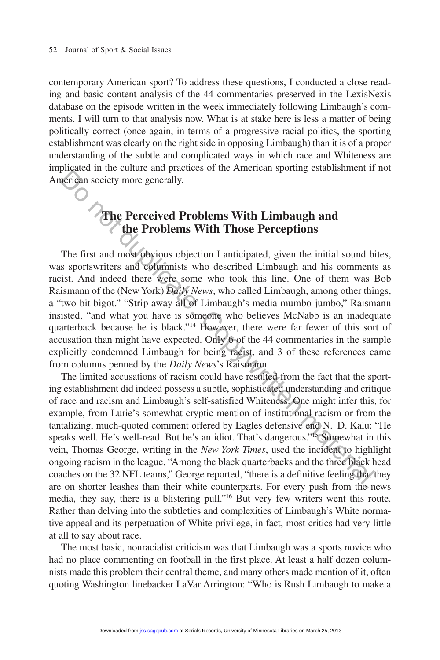contemporary American sport? To address these questions, I conducted a close reading and basic content analysis of the 44 commentaries preserved in the LexisNexis database on the episode written in the week immediately following Limbaugh's comments. I will turn to that analysis now. What is at stake here is less a matter of being politically correct (once again, in terms of a progressive racial politics, the sporting establishment was clearly on the right side in opposing Limbaugh) than it is of a proper understanding of the subtle and complicated ways in which race and Whiteness are implicated in the culture and practices of the American sporting establishment if not American society more generally.

### **The Perceived Problems With Limbaugh and the Problems With Those Perceptions**

The first and most obvious objection I anticipated, given the initial sound bites, was sportswriters and columnists who described Limbaugh and his comments as racist. And indeed there were some who took this line. One of them was Bob Raismann of the (New York) *Daily News*, who called Limbaugh, among other things, a "two-bit bigot." "Strip away all of Limbaugh's media mumbo-jumbo," Raismann insisted, "and what you have is someone who believes McNabb is an inadequate quarterback because he is black."14 However, there were far fewer of this sort of accusation than might have expected. Only 6 of the 44 commentaries in the sample explicitly condemned Limbaugh for being racist, and 3 of these references came from columns penned by the *Daily News*'s Raismann. **EXERCT:**<br> **EXERCT:** The density more generally.<br> **EXERCT:** The first and provides of the Findeless of the Findeless of the initial sound by<br> **EXERCT: Problems With Those Perceptions**<br>
The first and not objection I anti

The limited accusations of racism could have resulted from the fact that the sporting establishment did indeed possess a subtle, sophisticated understanding and critique of race and racism and Limbaugh's self-satisfied Whiteness. One might infer this, for example, from Lurie's somewhat cryptic mention of institutional racism or from the tantalizing, much-quoted comment offered by Eagles defensive end N. D. Kalu: "He speaks well. He's well-read. But he's an idiot. That's dangerous."15 Somewhat in this vein, Thomas George, writing in the *New York Times*, used the incident to highlight ongoing racism in the league. "Among the black quarterbacks and the three black head coaches on the 32 NFL teams," George reported, "there is a definitive feeling that they are on shorter leashes than their white counterparts. For every push from the news media, they say, there is a blistering pull."16 But very few writers went this route. Rather than delving into the subtleties and complexities of Limbaugh's White normative appeal and its perpetuation of White privilege, in fact, most critics had very little at all to say about race.

The most basic, nonracialist criticism was that Limbaugh was a sports novice who had no place commenting on football in the first place. At least a half dozen columnists made this problem their central theme, and many others made mention of it, often quoting Washington linebacker LaVar Arrington: "Who is Rush Limbaugh to make a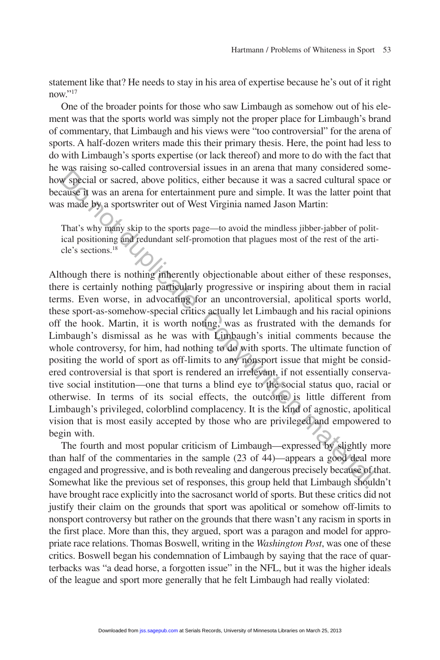statement like that? He needs to stay in his area of expertise because he's out of it right now."17

One of the broader points for those who saw Limbaugh as somehow out of his element was that the sports world was simply not the proper place for Limbaugh's brand of commentary, that Limbaugh and his views were "too controversial" for the arena of sports. A half-dozen writers made this their primary thesis. Here, the point had less to do with Limbaugh's sports expertise (or lack thereof) and more to do with the fact that he was raising so-called controversial issues in an arena that many considered somehow special or sacred, above politics, either because it was a sacred cultural space or because it was an arena for entertainment pure and simple. It was the latter point that was made by a sportswriter out of West Virginia named Jason Martin:

That's why many skip to the sports page—to avoid the mindless jibber-jabber of political positioning and redundant self-promotion that plagues most of the rest of the article's sections.18

Although there is nothing inherently objectionable about either of these responses, there is certainly nothing particularly progressive or inspiring about them in racial terms. Even worse, in advocating for an uncontroversial, apolitical sports world, these sport-as-somehow-special critics actually let Limbaugh and his racial opinions off the hook. Martin, it is worth noting, was as frustrated with the demands for Limbaugh's dismissal as he was with Limbaugh's initial comments because the whole controversy, for him, had nothing to do with sports. The ultimate function of positing the world of sport as off-limits to any nonsport issue that might be considered controversial is that sport is rendered an irrelevant, if not essentially conservative social institution—one that turns a blind eye to the social status quo, racial or otherwise. In terms of its social effects, the outcome is little different from Limbaugh's privileged, colorblind complacency. It is the kind of agnostic, apolitical vision that is most easily accepted by those who are privileged and empowered to begin with. we massing so cunter outroms is so seen in mean time that miny considers of weightlics pitched sole and production small of the consistent material. That's why many skip to the sports represent pure and simple. It was the

The fourth and most popular criticism of Limbaugh—expressed by slightly more than half of the commentaries in the sample (23 of 44)—appears a good deal more engaged and progressive, and is both revealing and dangerous precisely because of that. Somewhat like the previous set of responses, this group held that Limbaugh shouldn't have brought race explicitly into the sacrosanct world of sports. But these critics did not justify their claim on the grounds that sport was apolitical or somehow off-limits to nonsport controversy but rather on the grounds that there wasn't any racism in sports in the first place. More than this, they argued, sport was a paragon and model for appropriate race relations. Thomas Boswell, writing in the *Washington Post*, was one of these critics. Boswell began his condemnation of Limbaugh by saying that the race of quarterbacks was "a dead horse, a forgotten issue" in the NFL, but it was the higher ideals of the league and sport more generally that he felt Limbaugh had really violated: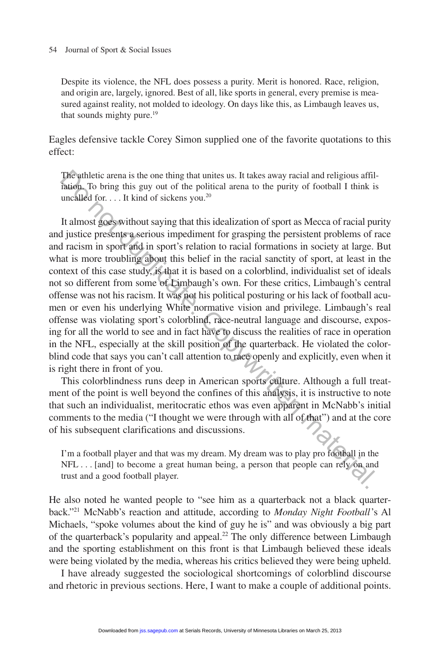Despite its violence, the NFL does possess a purity. Merit is honored. Race, religion, and origin are, largely, ignored. Best of all, like sports in general, every premise is measured against reality, not molded to ideology. On days like this, as Limbaugh leaves us, that sounds mighty pure.<sup>19</sup>

Eagles defensive tackle Corey Simon supplied one of the favorite quotations to this effect:

The athletic arena is the one thing that unites us. It takes away racial and religious affiliation. To bring this guy out of the political arena to the purity of football I think is uncalled for. . . . It kind of sickens you.20

It almost goes without saying that this idealization of sport as Mecca of racial purity and justice presents a serious impediment for grasping the persistent problems of race and racism in sport and in sport's relation to racial formations in society at large. But what is more troubling about this belief in the racial sanctity of sport, at least in the context of this case study, is that it is based on a colorblind, individualist set of ideals not so different from some of Limbaugh's own. For these critics, Limbaugh's central offense was not his racism. It was not his political posturing or his lack of football acumen or even his underlying White normative vision and privilege. Limbaugh's real offense was violating sport's colorblind, race-neutral language and discourse, exposing for all the world to see and in fact have to discuss the realities of race in operation in the NFL, especially at the skill position of the quarterback. He violated the colorblind code that says you can't call attention to race openly and explicitly, even when it is right there in front of you. The valibitic arena is the one thing that unites us. It takes away racial and religious affiliand, To bring this guy out of the political arena to the purity of football 1 think is uncilled for.... It kind of sickens you.

This colorblindness runs deep in American sports culture. Although a full treatment of the point is well beyond the confines of this analysis, it is instructive to note that such an individualist, meritocratic ethos was even apparent in McNabb's initial comments to the media ("I thought we were through with all of that") and at the core of his subsequent clarifications and discussions.

I'm a football player and that was my dream. My dream was to play pro football in the NFL . . . [and] to become a great human being, a person that people can rely on and trust and a good football player.

He also noted he wanted people to "see him as a quarterback not a black quarterback."21 McNabb's reaction and attitude, according to *Monday Night Football*'s Al Michaels, "spoke volumes about the kind of guy he is" and was obviously a big part of the quarterback's popularity and appeal.<sup>22</sup> The only difference between Limbaugh and the sporting establishment on this front is that Limbaugh believed these ideals were being violated by the media, whereas his critics believed they were being upheld.

I have already suggested the sociological shortcomings of colorblind discourse and rhetoric in previous sections. Here, I want to make a couple of additional points.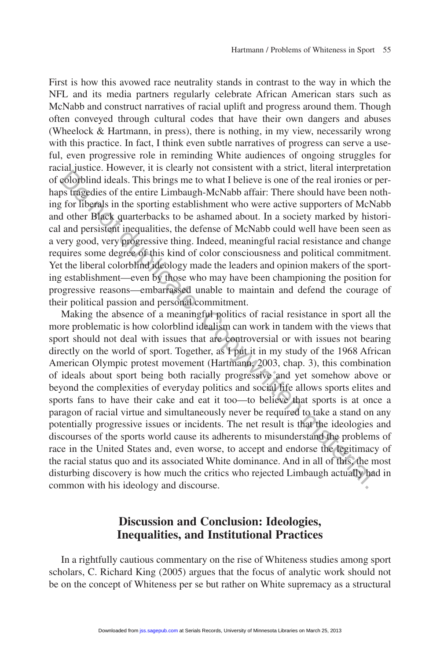First is how this avowed race neutrality stands in contrast to the way in which the NFL and its media partners regularly celebrate African American stars such as McNabb and construct narratives of racial uplift and progress around them. Though often conveyed through cultural codes that have their own dangers and abuses (Wheelock & Hartmann, in press), there is nothing, in my view, necessarily wrong with this practice. In fact, I think even subtle narratives of progress can serve a useful, even progressive role in reminding White audiences of ongoing struggles for racial justice. However, it is clearly not consistent with a strict, literal interpretation of colorblind ideals. This brings me to what I believe is one of the real ironies or perhaps tragedies of the entire Limbaugh-McNabb affair: There should have been nothing for liberals in the sporting establishment who were active supporters of McNabb and other Black quarterbacks to be ashamed about. In a society marked by historical and persistent inequalities, the defense of McNabb could well have been seen as a very good, very progressive thing. Indeed, meaningful racial resistance and change requires some degree of this kind of color consciousness and political commitment. Yet the liberal colorblind ideology made the leaders and opinion makers of the sporting establishment—even by those who may have been championing the position for progressive reasons—embarrassed unable to maintain and defend the courage of their political passion and personal commitment.

Making the absence of a meaningful politics of racial resistance in sport all the more problematic is how colorblind idealism can work in tandem with the views that sport should not deal with issues that are controversial or with issues not bearing directly on the world of sport. Together, as I put it in my study of the 1968 African American Olympic protest movement (Hartmann, 2003, chap. 3), this combination of ideals about sport being both racially progressive and yet somehow above or beyond the complexities of everyday politics and social life allows sports elites and sports fans to have their cake and eat it too—to believe that sports is at once a paragon of racial virtue and simultaneously never be required to take a stand on any potentially progressive issues or incidents. The net result is that the ideologies and discourses of the sports world cause its adherents to misunderstand the problems of race in the United States and, even worse, to accept and endorse the legitimacy of the racial status quo and its associated White dominance. And in all of this, the most disturbing discovery is how much the critics who rejected Limbaugh actually had in common with his ideology and discourse. and patient in the second of spot in the consolination was the spin material and patient in the second words of the entire profer for this brings me to what I believe is one of the real ironics or stragedies of the entire

#### **Discussion and Conclusion: Ideologies, Inequalities, and Institutional Practices**

In a rightfully cautious commentary on the rise of Whiteness studies among sport scholars, C. Richard King (2005) argues that the focus of analytic work should not be on the concept of Whiteness per se but rather on White supremacy as a structural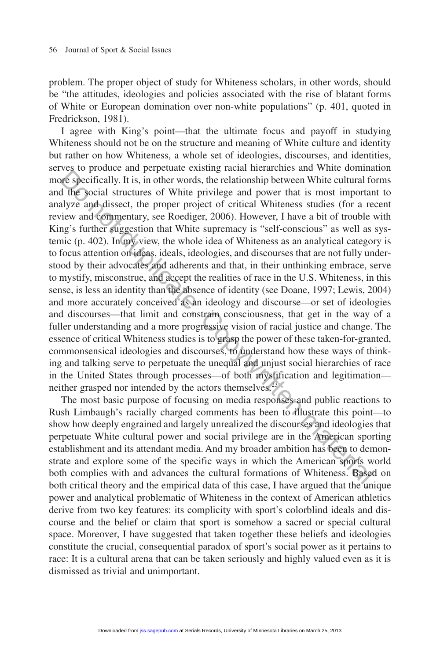problem. The proper object of study for Whiteness scholars, in other words, should be "the attitudes, ideologies and policies associated with the rise of blatant forms of White or European domination over non-white populations" (p. 401, quoted in Fredrickson, 1981).

I agree with King's point—that the ultimate focus and payoff in studying Whiteness should not be on the structure and meaning of White culture and identity but rather on how Whiteness, a whole set of ideologies, discourses, and identities, serves to produce and perpetuate existing racial hierarchies and White domination more specifically. It is, in other words, the relationship between White cultural forms and the social structures of White privilege and power that is most important to analyze and dissect, the proper project of critical Whiteness studies (for a recent review and commentary, see Roediger, 2006). However, I have a bit of trouble with King's further suggestion that White supremacy is "self-conscious" as well as systemic (p. 402). In my view, the whole idea of Whiteness as an analytical category is to focus attention on ideas, ideals, ideologies, and discourses that are not fully understood by their advocates and adherents and that, in their unthinking embrace, serve to mystify, misconstrue, and accept the realities of race in the U.S. Whiteness, in this sense, is less an identity than the absence of identity (see Doane, 1997; Lewis, 2004) and more accurately conceived as an ideology and discourse—or set of ideologies and discourses—that limit and constrain consciousness, that get in the way of a fuller understanding and a more progressive vision of racial justice and change. The essence of critical Whiteness studies is to grasp the power of these taken-for-granted, commonsensical ideologies and discourses, to understand how these ways of thinking and talking serve to perpetuate the unequal and unjust social hierarchies of race in the United States through processes—of both mystification and legitimation neither grasped nor intended by the actors themselves.23 For the potation of the present and respective that interacts and virtue cominal<br>experimentations of the specifically. It is, in other words, the relationship between White cultural fo<br>the specifically. It is, in other wo

The most basic purpose of focusing on media responses and public reactions to Rush Limbaugh's racially charged comments has been to illustrate this point—to show how deeply engrained and largely unrealized the discourses and ideologies that perpetuate White cultural power and social privilege are in the American sporting establishment and its attendant media. And my broader ambition has been to demonstrate and explore some of the specific ways in which the American sports world both complies with and advances the cultural formations of Whiteness. Based on both critical theory and the empirical data of this case, I have argued that the unique power and analytical problematic of Whiteness in the context of American athletics derive from two key features: its complicity with sport's colorblind ideals and discourse and the belief or claim that sport is somehow a sacred or special cultural space. Moreover, I have suggested that taken together these beliefs and ideologies constitute the crucial, consequential paradox of sport's social power as it pertains to race: It is a cultural arena that can be taken seriously and highly valued even as it is dismissed as trivial and unimportant.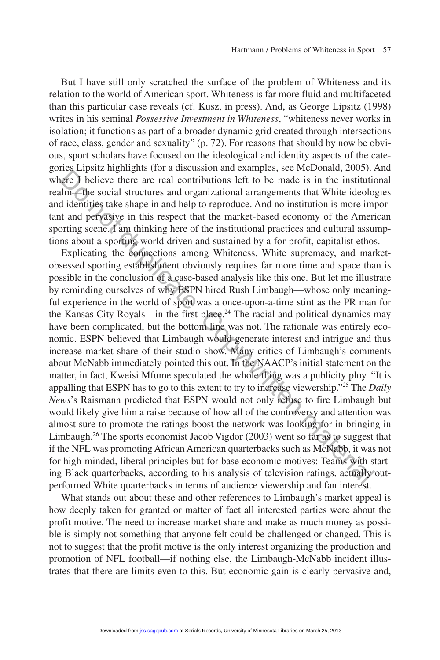But I have still only scratched the surface of the problem of Whiteness and its relation to the world of American sport. Whiteness is far more fluid and multifaceted than this particular case reveals (cf. Kusz, in press). And, as George Lipsitz (1998) writes in his seminal *Possessive Investment in Whiteness*, "whiteness never works in isolation; it functions as part of a broader dynamic grid created through intersections of race, class, gender and sexuality" (p. 72). For reasons that should by now be obvious, sport scholars have focused on the ideological and identity aspects of the categories Lipsitz highlights (for a discussion and examples, see McDonald, 2005). And where I believe there are real contributions left to be made is in the institutional realm—the social structures and organizational arrangements that White ideologies and identities take shape in and help to reproduce. And no institution is more important and pervasive in this respect that the market-based economy of the American sporting scene. I am thinking here of the institutional practices and cultural assumptions about a sporting world driven and sustained by a for-profit, capitalist ethos.

Explicating the connections among Whiteness, White supremacy, and marketobsessed sporting establishment obviously requires far more time and space than is possible in the conclusion of a case-based analysis like this one. But let me illustrate by reminding ourselves of why ESPN hired Rush Limbaugh—whose only meaningful experience in the world of sport was a once-upon-a-time stint as the PR man for the Kansas City Royals—in the first place.24 The racial and political dynamics may have been complicated, but the bottom line was not. The rationale was entirely economic. ESPN believed that Limbaugh would generate interest and intrigue and thus increase market share of their studio show. Many critics of Limbaugh's comments about McNabb immediately pointed this out. In the NAACP's initial statement on the matter, in fact, Kweisi Mfume speculated the whole thing was a publicity ploy. "It is appalling that ESPN has to go to this extent to try to increase viewership."25 The *Daily News*'s Raismann predicted that ESPN would not only refuse to fire Limbaugh but would likely give him a raise because of how all of the controversy and attention was almost sure to promote the ratings boost the network was looking for in bringing in Limbaugh.26 The sports economist Jacob Vigdor (2003) went so far as to suggest that if the NFL was promoting African American quarterbacks such as McNabb, it was not for high-minded, liberal principles but for base economic motives: Teams with starting Black quarterbacks, according to his analysis of television ratings, actually outperformed White quarterbacks in terms of audience viewership and fan interest. Even many to the studies and evaluated the material. Footh is the distinguist of the Telection in the studies take shape in and help to reproduce. And no institution is more impled if denoting is also that white ideologic

What stands out about these and other references to Limbaugh's market appeal is how deeply taken for granted or matter of fact all interested parties were about the profit motive. The need to increase market share and make as much money as possible is simply not something that anyone felt could be challenged or changed. This is not to suggest that the profit motive is the only interest organizing the production and promotion of NFL football—if nothing else, the Limbaugh-McNabb incident illustrates that there are limits even to this. But economic gain is clearly pervasive and,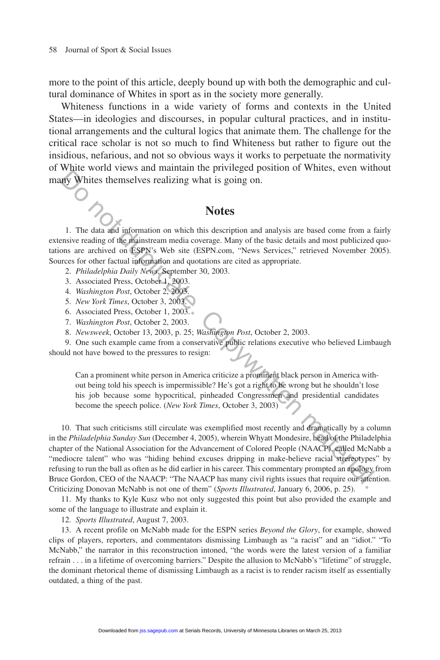more to the point of this article, deeply bound up with both the demographic and cultural dominance of Whites in sport as in the society more generally.

Whiteness functions in a wide variety of forms and contexts in the United States—in ideologies and discourses, in popular cultural practices, and in institutional arrangements and the cultural logics that animate them. The challenge for the critical race scholar is not so much to find Whiteness but rather to figure out the insidious, nefarious, and not so obvious ways it works to perpetuate the normativity of White world views and maintain the privileged position of Whites, even without many Whites themselves realizing what is going on.

#### **Notes**

1. The data and information on which this description and analysis are based come from a fairly extensive reading of the mainstream media coverage. Many of the basic details and most publicized quotations are archived on ESPN's Web site (ESPN.com, "News Services," retrieved November 2005). Sources for other factual information and quotations are cited as appropriate.

- 2. *Philadelphia Daily News*, September 30, 2003.
- 3. Associated Press, October 1, 2003.
- 4. *Washington Post*, October 2, 2003.
- 5. *New York Times*, October 3, 2003.
- 6. Associated Press, October 1, 2003.
- 7. *Washington Post*, October 2, 2003.
- 8. *Newsweek*, October 13, 2003, p. 25; *Washington Post*, October 2, 2003.

9. One such example came from a conservative public relations executive who believed Limbaugh should not have bowed to the pressures to resign:

Can a prominent white person in America criticize a prominent black person in America without being told his speech is impermissible? He's got a right to be wrong but he shouldn't lose his job because some hypocritical, pinheaded Congressmen and presidential candidates become the speech police. (*New York Times*, October 3, 2003)

10. That such criticisms still circulate was exemplified most recently and dramatically by a column in the *Philadelphia Sunday Sun* (December 4, 2005), wherein Whyatt Mondesire, head of the Philadelphia chapter of the National Association for the Advancement of Colored People (NAACP), called McNabb a "mediocre talent" who was "hiding behind excuses dripping in make-believe racial strereotypes" by refusing to run the ball as often as he did earlier in his career. This commentary prompted an apology from Bruce Gordon, CEO of the NAACP: "The NAACP has many civil rights issues that require our attention. Criticizing Donovan McNabb is not one of them" (*Sports Illustrated*, January 6, 2006, p. 25). **EVALUATION**<br>
We write what such that the principal constant and parameters are also and the properties then be also not the base of the properties.<br>
The data and information on which this description and analysis are bas

11. My thanks to Kyle Kusz who not only suggested this point but also provided the example and some of the language to illustrate and explain it.

12. *Sports Illustrated*, August 7, 2003.

13. A recent profile on McNabb made for the ESPN series *Beyond the Glory*, for example, showed clips of players, reporters, and commentators dismissing Limbaugh as "a racist" and an "idiot." "To McNabb," the narrator in this reconstruction intoned, "the words were the latest version of a familiar refrain . . . in a lifetime of overcoming barriers." Despite the allusion to McNabb's "lifetime" of struggle, the dominant rhetorical theme of dismissing Limbaugh as a racist is to render racism itself as essentially outdated, a thing of the past.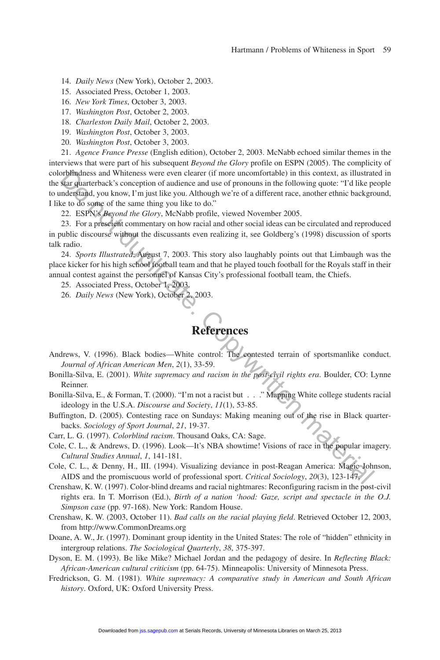14. *Daily News* (New York), October 2, 2003.

15. Associated Press, October 1, 2003.

- 16. *New York Times*, October 3, 2003.
- 17. *Washington Post*, October 2, 2003.
- 18. *Charleston Daily Mail*, October 2, 2003.
- 19. *Washington Post*, October 3, 2003.
- 20. *Washington Post*, October 3, 2003.

21. *Agence France Presse* (English edition), October 2, 2003. McNabb echoed similar themes in the interviews that were part of his subsequent *Beyond the Glory* profile on ESPN (2005). The complicity of colorblindness and Whiteness were even clearer (if more uncomfortable) in this context, as illustrated in the star quarterback's conception of audience and use of pronouns in the following quote: "I'd like people to understand, you know, I'm just like you. Although we're of a different race, another ethnic background, I like to do some of the same thing you like to do." **Appliques and Whiteness were even clearer (if more unconfortable) in this context, as illustrated<br>
star quarterback's conception of audience and use of pronouns in the following quote: "I'dl like percelse to to some of t** 

22. ESPN's *Beyond the Glory*, McNabb profile, viewed November 2005.

23. For a prescient commentary on how racial and other social ideas can be circulated and reproduced in public discourse without the discussants even realizing it, see Goldberg's (1998) discussion of sports talk radio.

24. *Sports Illustrated*, August 7, 2003. This story also laughably points out that Limbaugh was the place kicker for his high school football team and that he played touch football for the Royals staff in their annual contest against the personnel of Kansas City's professional football team, the Chiefs.

25. Associated Press, October 1, 2003.

26. *Daily News* (New York), October 2, 2003.

## **References**

- Bonilla-Silva, E. (2001). *White supremacy and racism in the post-civil rights era*. Boulder, CO: Lynne Reinner.
- Bonilla-Silva, E., & Forman, T. (2000). "I'm not a racist but . . ." Mapping White college students racial ideology in the U.S.A. *Discourse and Society*, *11*(1), 53-85.
- Buffington, D. (2005). Contesting race on Sundays: Making meaning out of the rise in Black quarterbacks. *Sociology of Sport Journal*, *21*, 19-37.
- Carr, L. G. (1997). *Colorblind racism*. Thousand Oaks, CA: Sage.
- Cole, C. L., & Andrews, D. (1996). Look—It's NBA showtime! Visions of race in the popular imagery. *Cultural Studies Annual*, *1*, 141-181.
- Cole, C. L., & Denny, H., III. (1994). Visualizing deviance in post-Reagan America: Magic Johnson, AIDS and the promiscuous world of professional sport. *Critical Sociology*, *20*(3), 123-147.
- Crenshaw, K. W. (1997). Color-blind dreams and racial nightmares: Reconfiguring racism in the post-civil rights era. In T. Morrison (Ed.), *Birth of a nation 'hood: Gaze, script and spectacle in the O.J. Simpson case* (pp. 97-168). New York: Random House.
- Crenshaw, K. W. (2003, October 11). *Bad calls on the racial playing field*. Retrieved October 12, 2003, from http://www.CommonDreams.org
- Doane, A. W., Jr. (1997). Dominant group identity in the United States: The role of "hidden" ethnicity in intergroup relations. *The Sociological Quarterly*, *38*, 375-397.
- Dyson, E. M. (1993). Be like Mike? Michael Jordan and the pedagogy of desire. In *Reflecting Black: African-American cultural criticism* (pp. 64-75). Minneapolis: University of Minnesota Press.
- Fredrickson, G. M. (1981). *White supremacy: A comparative study in American and South African history*. Oxford, UK: Oxford University Press.

Andrews, V. (1996). Black bodies—White control: The contested terrain of sportsmanlike conduct. *Journal of African American Men*, *2*(1), 33-59.